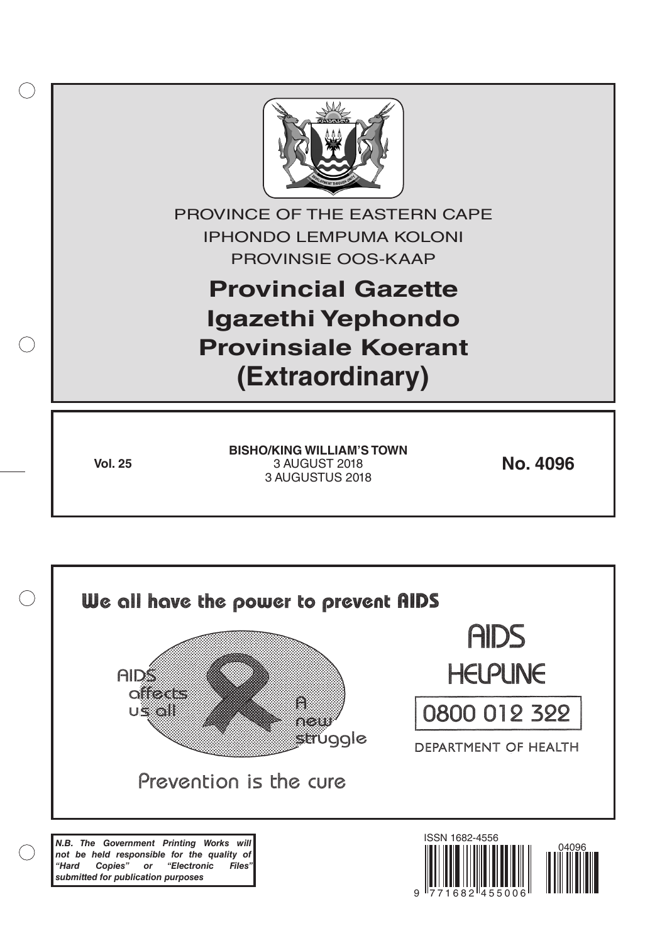

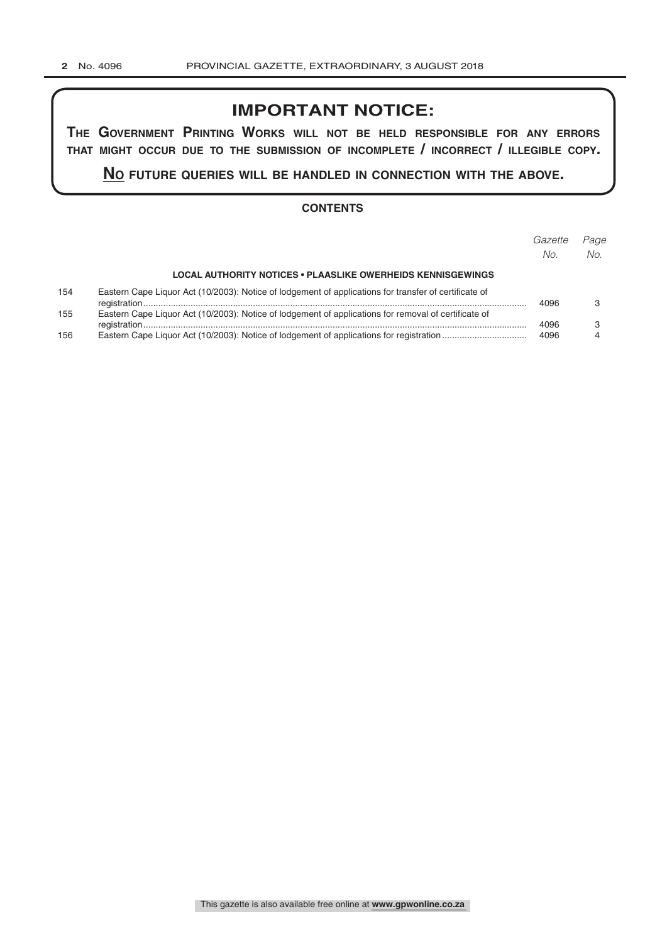# **IMPORTANT NOTICE:**

**The GovernmenT PrinTinG Works Will noT be held resPonsible for any errors ThaT miGhT occur due To The submission of incomPleTe / incorrecT / illeGible coPy.**

**no fuTure queries Will be handled in connecTion WiTh The above.**

## **CONTENTS**

|                                                                                                       | Gazette<br>No. | Paae<br>No. |
|-------------------------------------------------------------------------------------------------------|----------------|-------------|
| <b>LOCAL AUTHORITY NOTICES • PLAASLIKE OWERHEIDS KENNISGEWINGS</b>                                    |                |             |
| Eastern Cape Liquor Act (10/2003): Notice of lodgement of applications for transfer of certificate of | 4096           |             |
| Eastern Cape Liquor Act (10/2003): Notice of lodgement of applications for removal of certificate of  | 4096<br>4096   |             |
|                                                                                                       |                |             |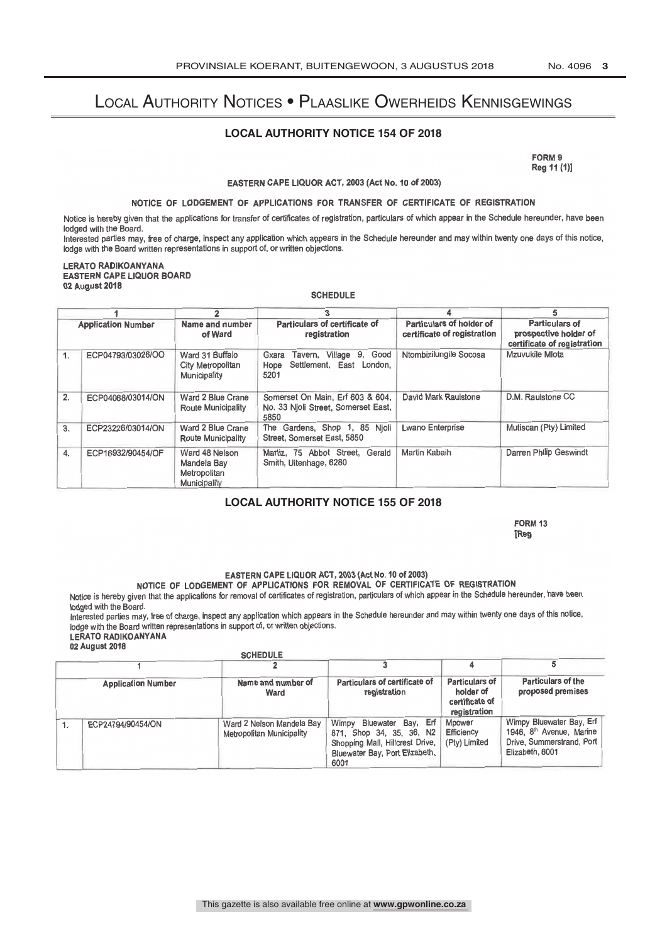# Local Authority Notices • Plaaslike Owerheids Kennisgewings

## **LOCAL AUTHORITY NOTICE 154 OF 2018**

FORM 9 Reg 11 (1)]

### EASTERN CAPE LIQUOR ACT, 2003 (Act No. 10 of 2003)

### NOTICE OF LODGEMENT OF APPLICATIONS FOR TRANSFER OF CERTIFICATE OF REGISTRATION

Notice is hereby given that the applications for transfer of certificates of registration, particulars of which appear in the Schedule hereunder, have been lodged with the Board.

Interested parties may, free of charge, inspect any application which appears in the Schedule hereunder and may within twenty one days of this notice, lodge with the Board written representations in support of, or written objections.

#### LERATO RADIKOANYANA EASTERN CAPE LIQUOR BOARD 02 August 2018

**SCHEDULE** 

| <b>Application Number</b> |                   | Particulars of certificate of<br>Name and number<br>registration<br>of Ward |                                                                                 |                                                         | Particulars of<br>prospective holder of<br>certificate of registration |  |
|---------------------------|-------------------|-----------------------------------------------------------------------------|---------------------------------------------------------------------------------|---------------------------------------------------------|------------------------------------------------------------------------|--|
|                           |                   |                                                                             |                                                                                 | Particulars of holder of<br>certificate of registration |                                                                        |  |
| 1.                        | ECP04793/03026/OO | Ward 31 Buffalo<br>City Metropolitan<br>Municipality                        | Tavern, Village 9, Good<br>Gxara<br>Settlement. East London.<br>Hope<br>5201    | Ntombizilungile Socosa                                  | Mzuvukile Mlota                                                        |  |
| 2.                        | ECP04068/03014/ON | Ward 2 Blue Crane<br>Route Municipality                                     | Somerset On Main, Erf 603 & 604,<br>No. 33 Nioli Street, Somerset East,<br>5850 | David Mark Raulstone                                    | D.M. Raulstone CC                                                      |  |
| 3.                        | ECP23226/03014/ON | Ward 2 Blue Crane<br><b>Route Municipality</b>                              | The Gardens, Shop 1, 85 Nioli<br>Street, Somerset East, 5850                    | <b>Lwano Enterprise</b>                                 | Mutiscan (Pty) Limited                                                 |  |
| 4.                        | ECP16932/90454/OF | Ward 48 Nelson<br>Mandela Bay<br>Metropolitan<br>Municipality               | Martiz, 75 Abbot Street, Gerald<br>Smith, Uitenhage, 6280                       | Martin Kabaih                                           | Darren Philip Geswindt                                                 |  |

## **LOCAL AUTHORITY NOTICE 155 OF 2018**

FORM 13<br>**TReg** [Reg

EASTERN CAPE LIQUOR ACT, 2003 (Act No. 10 of 2003)<br>NOTICE OF LODGEMENT OF APPLICATIONS FOR REMOVAL OF CERTIFICATE OF REGISTRATION

NOTICE OF LODGEMENT OF APPLICATIONS FOR REMOVAL OF CERTIFICATE OF REGISTRATION Notice is hereby given that the applications for removal of certificates of registration, particulars of which appear in the Schedule hereunder, have been lodged with the Board.

Interested parties may, free of charge, inspect any application which appears in the Schedule hereunder and may within twenty one days of this notice, lodge with the Board written representations in support of, or written objections.

#### LERATO RADIKOANYANA

02 August 2018

# SCHEDULE

| <b>Application Number</b> |                   |                                                        |                                                                                                                                      |                                                                      | <b>Particulars of the</b><br>proposed premises                                                                   |
|---------------------------|-------------------|--------------------------------------------------------|--------------------------------------------------------------------------------------------------------------------------------------|----------------------------------------------------------------------|------------------------------------------------------------------------------------------------------------------|
|                           |                   | Name and number of<br>Ward                             | Particulars of certificate of<br>registration                                                                                        | <b>Particulars of</b><br>holder of<br>certificate of<br>registration |                                                                                                                  |
|                           | ECP24794/90454/ON | Ward 2 Nelson Mandela Bay<br>Metropolitan Municipality | Bluewater Bay, Erf<br>Wimpy<br>871, Shop 34, 35, 36, N2<br>Shopping Mall, Hillcrest Drive,<br>Bluewater Bay, Port Elizabeth,<br>6001 | Mpower<br>Efficiency<br>(Pty) Limited                                | Wimpy Bluewater Bay, Erf<br>1946, 8 <sup>th</sup> Avenue, Marine<br>Drive, Summerstrand, Port<br>Elizabeth, 6001 |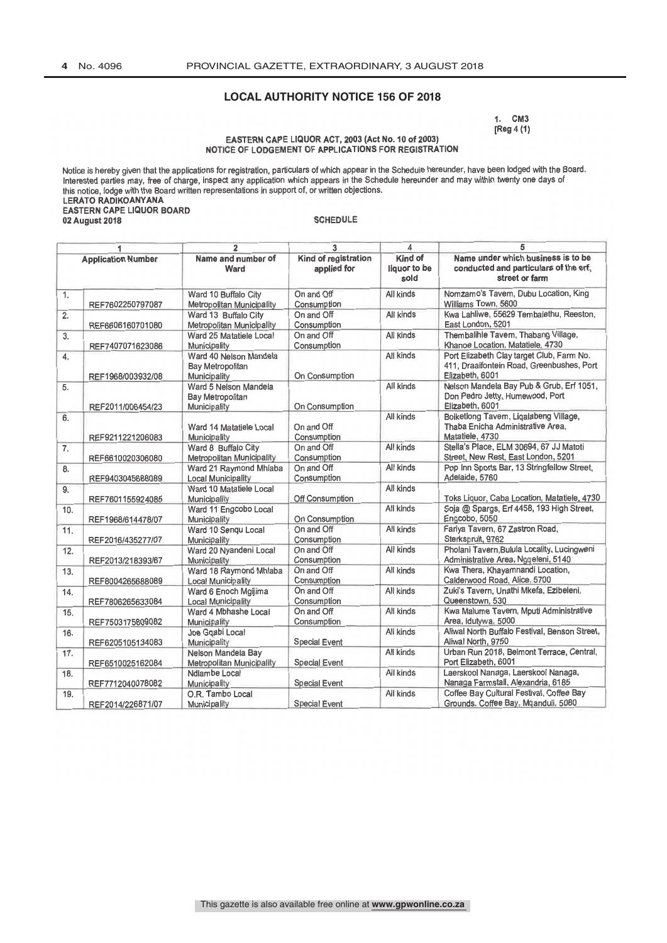## **LOCAL AUTHORITY NOTICE 156 OF 2018**

1. CM3  $[rad + (1)$ 

Notice is hereby given that the applications for registration, particulars of which appear in the Schedule hereunder, have been lodged with the Board. Interested parties may, free of charge, inspect any application which appears in the Schedule hereunder and may within twenty one days of this notice, lodge with the Board written representations in support of, or written objections. LERATO RADIKOANYANA EASTERN CAPE LIQUOR BOARD 02 August 2018

|                           | 1                 | $\overline{\mathbf{2}}$                                    | 3                                   | $\overline{4}$                  | 5                                                                                                         |  |  |
|---------------------------|-------------------|------------------------------------------------------------|-------------------------------------|---------------------------------|-----------------------------------------------------------------------------------------------------------|--|--|
| <b>Application Number</b> |                   | Name and number of<br>Ward                                 | Kind of registration<br>applied for | Kind of<br>liquor to be<br>sold | Name under which business is to be<br>conducted and particulars of the erf,<br>street or farm             |  |  |
| 1.                        | REF7602250797087  | Ward 10 Buffalo City<br>Metropolitan Municipality          | On and Off<br>Consumption           | All kinds                       | Nomzamo's Tavem, Dubu Location, King<br>Williams Town, 5600                                               |  |  |
| 2.                        | REF6606160701080  | Ward 13 Buffalo City<br>Metropolitan Municipality          | On and Off<br>Consumption           | All kinds                       | Kwa Lahliwe, 55629 Tembalethu, Reeston,<br>East London, 5201                                              |  |  |
| 3 <sub>1</sub>            | REF7407071623086  | Ward 25 Matatiele Local<br>Municipality                    | On and Off<br>Consumption           | All kinds                       | Thembalihle Tavem, Thabang Village,<br>Khanoe Location, Matatiele, 4730                                   |  |  |
| 4 <sub>1</sub>            | REF1968/003932/08 | Ward 40 Nelson Mandela<br>Bay Metropolitan<br>Municipality | On Consumption                      | All kinds                       | Port Elizabeth Clay target Club, Farm No.<br>411, Draaifontein Road, Greenbushes, Port<br>Elizabeth, 6001 |  |  |
| 5.                        | REF2011/006454/23 | Ward 5 Nelson Mandela<br>Bay Metropolitan<br>Municipality  | On Consumption                      | All kinds                       | Nelson Mandela Bay Pub & Grub, Erf 1051,<br>Don Pedro Jetty, Humewood, Port<br>Elizabeth, 6001            |  |  |
| 6.                        | REF9211221206083  | Ward 14 Matatiele Local<br><b>Municipality</b>             | On and Off<br>Consumption           | All kinds                       | Boiketlong Tavem, Liqalabeng Village,<br>Thaba Enicha Administrative Area,<br>Matatiele, 4730             |  |  |
| 7.                        | REF6610020306080  | Ward 8 Buffalo City<br>Metropolitan Municipality           | On and Off<br>Consumption           | All kinds                       | Stella's Place, ELM 30694, 67 JJ Matoti<br>Street, New Rest, East London, 5201                            |  |  |
| 8.                        | REF9403045688089  | Ward 21 Raymond Mhlaba<br><b>Local Municipality</b>        | On and Off<br>Consumption           | All kinds                       | Pop Inn Sports Bar, 13 Stringfellow Street,<br>Adelaide, 5760                                             |  |  |
| 9.                        | REF7601155924085  | Ward 10 Matatiele Local<br>Municipality                    | Off Consumption                     | All kinds                       | Toks Liquor, Caba Location, Matatiele, 4730                                                               |  |  |
| 10.                       | REF1968/614478/07 | Ward 11 Engcobo Local<br>Municipality                      | On Consumption                      | All kinds                       | Soja @ Spargs, Erf 4458, 193 High Street,<br>Engcobo, 5050                                                |  |  |
| 11.                       | REF2016/435277/07 | Ward 10 Senqu Local<br>Municipality                        | On and Off<br>Consumption           | All kinds                       | Fariya Tavern, 67 Zastron Road,<br>Sterkspruit, 9762                                                      |  |  |
| 12.                       | REF2013/218393/67 | Ward 20 Nyandeni Local<br>Municipality                     | On and Off<br>Consumption           | All kinds                       | Pholani Tavern, Bulula Locality, Lucingweni<br>Administrative Area, Ngqeleni, 5140                        |  |  |
| 13.                       | REF8004265688089  | Ward 18 Raymond Mhlaba<br><b>Local Municipality</b>        | On and Off<br>Consumption           | All kinds                       | Kwa Thera, Khayamnandi Location,<br>Calderwood Road, Alice, 5700                                          |  |  |
| 14.                       | REF7806265633084  | Ward 6 Enoch Mgijima<br><b>Local Municipality</b>          | On and Off<br>Consumption           | All kinds                       | Zuki's Tavern, Unathi Mkefa, Ezibeleni,<br>Queenstown, 530                                                |  |  |
| 15.                       | REF7503175809082  | Ward 4 Mbhashe Local<br>Municipality                       | On and Off<br>Consumption           | All kinds                       | Kwa Malume Tavern, Mputi Administrative<br>Area, Idutywa, 5000                                            |  |  |
| 16.                       | REF6205105134083  | Joe Gqabi Local<br>Municipality                            | <b>Special Event</b>                | All kinds                       | Aliwal North Buffalo Festival, Benson Street,<br>Aliwal North, 9750                                       |  |  |
| 17.                       | REF6510025162084  | Nelson Mandela Bay<br>Metropolitan Municipality            | <b>Special Event</b>                | All kinds                       | Urban Run 2018, Belmont Terrace, Central,<br>Port Elizabeth, 6001                                         |  |  |
| 18.                       | REF7712040078082  | Ndlambe Local<br>Municipality                              | <b>Special Event</b>                | All kinds                       | Laerskool Nanaga, Laerskool Nanaga,<br>Nanaga Farmstall, Alexandria, 6185                                 |  |  |
| 19.                       | REF2014/226871/07 | O.R. Tambo Local<br>Municipality                           | <b>Special Event</b>                | All kinds                       | Coffee Bay Cultural Festival, Coffee Bay<br>Grounds, Coffee Bay, Mganduli, 5080                           |  |  |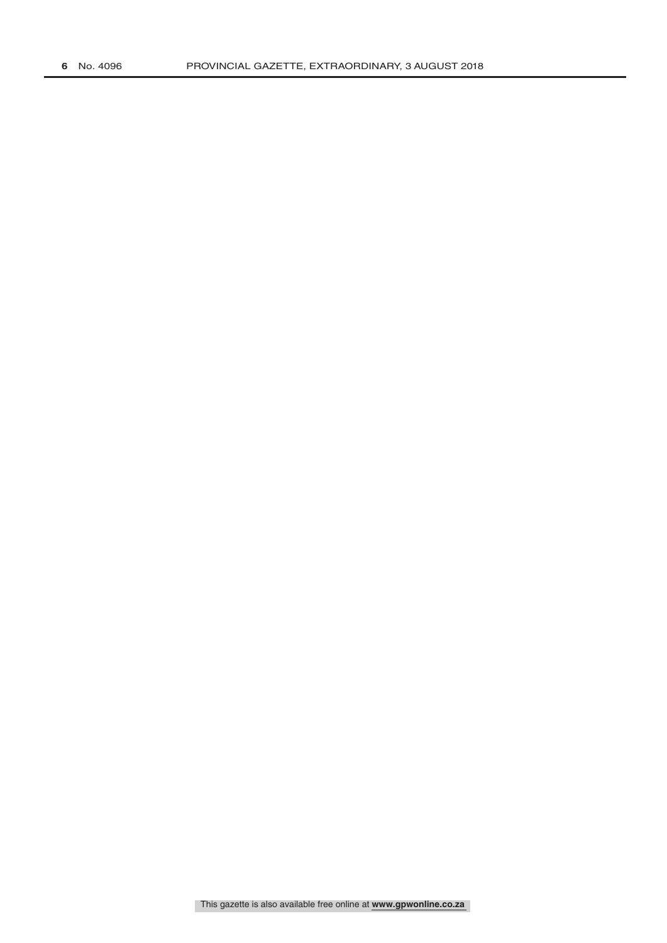This gazette is also available free online at **www.gpwonline.co.za**